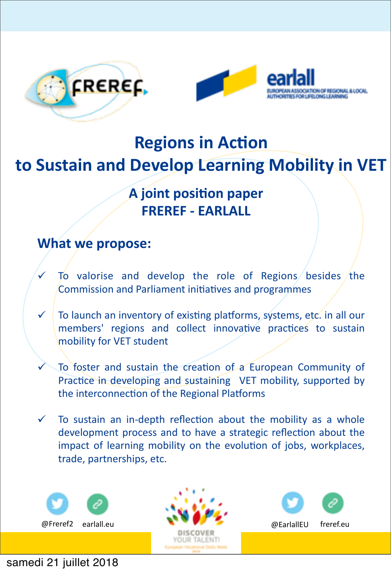



# **Regions in Action** to Sustain and Develop Learning Mobility in VET

## **A** joint position paper **FREREF - FARLALL**

## **What we propose:**

- To valorise and develop the role of Regions besides the Commission and Parliament initiatives and programmes
- $\checkmark$  To launch an inventory of existing platforms, systems, etc. in all our members' regions and collect innovative practices to sustain mobility for VET student
- To foster and sustain the creation of a European Community of Practice in developing and sustaining VET mobility, supported by the interconnection of the Regional Platforms
- $\checkmark$  To sustain an in-depth reflection about the mobility as a whole development process and to have a strategic reflection about the impact of learning mobility on the evolution of jobs, workplaces, trade, partnerships, etc.



#### samedi 21 juillet 2018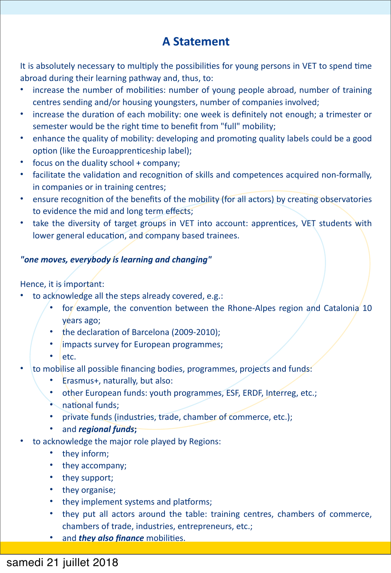## **A Statement**

It is absolutely necessary to multiply the possibilities for young persons in VET to spend time abroad during their learning pathway and, thus, to:

- increase the number of mobilities: number of young people abroad, number of training centres sending and/or housing youngsters, number of companies involved;
- increase the duration of each mobility: one week is definitely not enough; a trimester or semester would be the right time to benefit from "full" mobility;
- enhance the quality of mobility: developing and promoting quality labels could be a good option (like the Euroapprenticeship label);
- focus on the duality school  $+$  company;
- facilitate the validation and recognition of skills and competences acquired non-formally, in companies or in training centres;
- ensure recognition of the benefits of the mobility (for all actors) by creating observatories to evidence the mid and long term effects;
- take the diversity of target groups in VET into account: apprentices, VET students with lower general education, and company based trainees.

#### *"one%moves,%everybody%is%learning%and%changing"*

#### Hence, it is important:

- to acknowledge all the steps already covered, e.g.:
	- for example, the convention between the Rhone-Alpes region and Catalonia 10 years ago;
	- the declaration of Barcelona (2009-2010);
	- impacts survey for European programmes;
	- etc.
- to mobilise all possible financing bodies, programmes, projects and funds:
	- Erasmus+, naturally, but also:
	- other European funds: youth programmes, ESF, ERDF, Interreg, etc.;
	- $\bullet$  national funds:
	- private funds (industries, trade, chamber of commerce, etc.);
	- and *regional* funds;
- to acknowledge the major role played by Regions:
	- they inform;
	- they accompany;
	- they support;
	- they organise;
	- they implement systems and platforms;
	- they put all actors around the table: training centres, chambers of commerce, chambers of trade, industries, entrepreneurs, etc.;
	- and *they also finance* mobilities.

### samedi 21 juillet 2018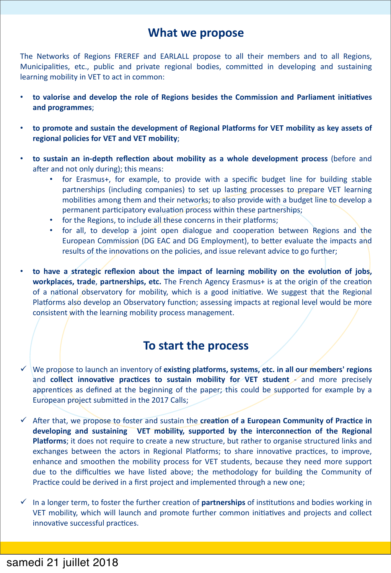#### What we propose

The Networks of Regions FREREF and EARLALL propose to all their members and to all Regions, Municipalities, etc., public and private regional bodies, committed in developing and sustaining learning mobility in VET to act in common:

- to valorise and develop the role of Regions besides the Commission and Parliament initiatives and programmes;
- to promote and sustain the development of Regional Platforms for VET mobility as key assets of regional policies for VET and VET mobility;
- to sustain an in-depth reflection about mobility as a whole development process (before and after and not only during); this means:
	- for Erasmus+, for example, to provide with a specific budget line for building stable  $\bullet$  . partnerships (including companies) to set up lasting processes to prepare VET learning mobilities among them and their networks; to also provide with a budget line to develop a permanent participatory evaluation process within these partnerships;
	- for the Regions, to include all these concerns in their platforms;
	- for all, to develop a joint open dialogue and cooperation between Regions and the European Commission (DG EAC and DG Employment), to better evaluate the impacts and results of the innovations on the policies, and issue relevant advice to go further;
- to have a strategic reflexion about the impact of learning mobility on the evolution of jobs, workplaces, trade, partnerships, etc. The French Agency Erasmus+ is at the origin of the creation of a national observatory for mobility, which is a good initiative. We suggest that the Regional Platforms also develop an Observatory function; assessing impacts at regional level would be more consistent with the learning mobility process management.

#### To start the process

- $\checkmark$  We propose to launch an inventory of existing platforms, systems, etc. in all our members' regions and collect innovative practices to sustain mobility for VET student and more precisely apprentices as defined at the beginning of the paper; this could be supported for example by a European project submitted in the 2017 Calls;
- $\checkmark$  After that, we propose to foster and sustain the creation of a European Community of Practice in developing and sustaining VET mobility, supported by the interconnection of the Regional Platforms; it does not require to create a new structure, but rather to organise structured links and exchanges between the actors in Regional Platforms; to share innovative practices, to improve, enhance and smoothen the mobility process for VET students, because they need more support due to the difficulties we have listed above; the methodology for building the Community of Practice could be derived in a first project and implemented through a new one;
- $\checkmark$  In a longer term, to foster the further creation of **partnerships** of institutions and bodies working in VET mobility, which will launch and promote further common initiatives and projects and collect innovative successful practices.